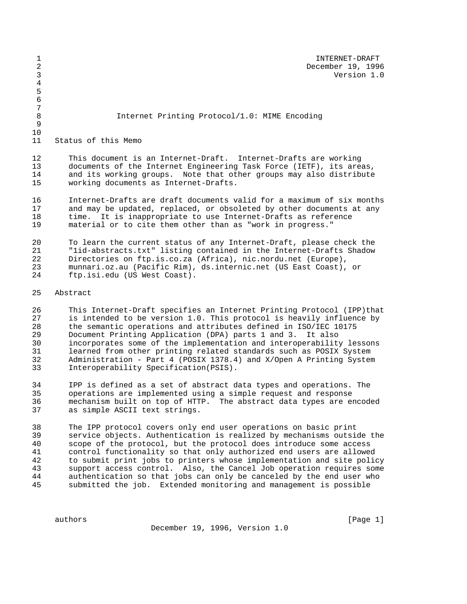| 1<br>$\overline{2}$<br>3   | INTERNET-DRAFT<br>December 19, 1996<br>Version 1.0                                                                                                                                                                                                                                                                                                         |
|----------------------------|------------------------------------------------------------------------------------------------------------------------------------------------------------------------------------------------------------------------------------------------------------------------------------------------------------------------------------------------------------|
| 4<br>5<br>6<br>$\sqrt{ }$  |                                                                                                                                                                                                                                                                                                                                                            |
| 8<br>9                     | Internet Printing Protocol/1.0: MIME Encoding                                                                                                                                                                                                                                                                                                              |
| 10<br>11                   | Status of this Memo                                                                                                                                                                                                                                                                                                                                        |
| 12<br>13<br>14<br>15       | This document is an Internet-Draft. Internet-Drafts are working<br>documents of the Internet Engineering Task Force (IETF), its areas,<br>and its working groups. Note that other groups may also distribute<br>working documents as Internet-Drafts.                                                                                                      |
| 16<br>17<br>18<br>19       | Internet-Drafts are draft documents valid for a maximum of six months<br>and may be updated, replaced, or obsoleted by other documents at any<br>time. It is inappropriate to use Internet-Drafts as reference<br>material or to cite them other than as "work in progress."                                                                               |
| 20<br>21<br>22<br>23<br>24 | To learn the current status of any Internet-Draft, please check the<br>"lid-abstracts.txt" listing contained in the Internet-Drafts Shadow<br>Directories on ftp.is.co.za (Africa), nic.nordu.net (Europe),<br>munnari.oz.au (Pacific Rim), ds.internic.net (US East Coast), or<br>ftp.isi.edu (US West Coast).                                            |
| 25                         | Abstract                                                                                                                                                                                                                                                                                                                                                   |
| 26<br>27<br>28<br>29<br>30 | This Internet-Draft specifies an Internet Printing Protocol (IPP) that<br>is intended to be version 1.0. This protocol is heavily influence by<br>the semantic operations and attributes defined in ISO/IEC 10175<br>Document Printing Application (DPA) parts 1 and 3.<br>It also<br>incorporates some of the implementation and interoperability lessons |

 learned from other printing related standards such as POSIX System Administration - Part 4 (POSIX 1378.4) and X/Open A Printing System Interoperability Specification(PSIS).

 IPP is defined as a set of abstract data types and operations. The operations are implemented using a simple request and response mechanism built on top of HTTP. The abstract data types are encoded as simple ASCII text strings.

38 The IPP protocol covers only end user operations on basic print<br>39 Service objects. Authentication is realized by mechanisms outsion service objects. Authentication is realized by mechanisms outside the scope of the protocol, but the protocol does introduce some access control functionality so that only authorized end users are allowed to submit print jobs to printers whose implementation and site policy support access control. Also, the Cancel Job operation requires some authentication so that jobs can only be canceled by the end user who submitted the job. Extended monitoring and management is possible

December 19, 1996, Version 1.0

authors [Page 1]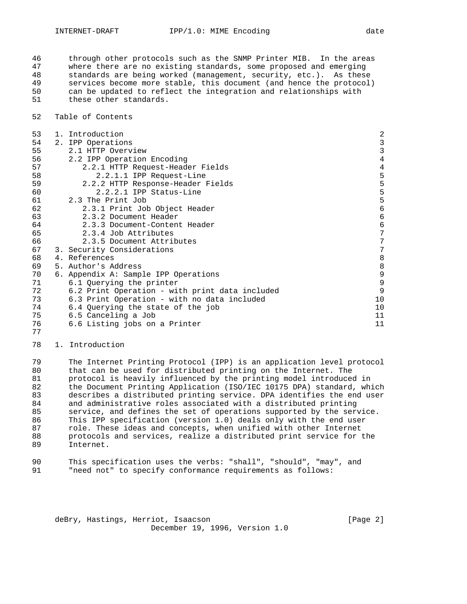through other protocols such as the SNMP Printer MIB. In the areas 47 where there are no existing standards, some proposed and emerging<br>48 standards are being worked (management, security, etc.). As these standards are being worked (management, security, etc.). As these services become more stable, this document (and hence the protocol) can be updated to reflect the integration and relationships with these other standards.

Table of Contents

| 53 | 1. Introduction                                | $\overline{2}$                             |
|----|------------------------------------------------|--------------------------------------------|
| 54 | 2. IPP Operations                              |                                            |
| 55 | 2.1 HTTP Overview                              | $\frac{3}{3}$                              |
| 56 | 2.2 IPP Operation Encoding                     | $\,4$                                      |
| 57 | 2.2.1 HTTP Request-Header Fields               |                                            |
| 58 | 2.2.1.1 IPP Request-Line                       | $\frac{4}{5}$                              |
| 59 | 2.2.2 HTTP Response-Header Fields              |                                            |
| 60 | 2.2.2.1 IPP Status-Line                        | $\begin{array}{c} 5 \\ 5 \\ 5 \end{array}$ |
| 61 | 2.3 The Print Job                              |                                            |
| 62 | 2.3.1 Print Job Object Header                  | $\epsilon$                                 |
| 63 | 2.3.2 Document Header                          | $\epsilon$                                 |
| 64 | 2.3.3 Document-Content Header                  | 6                                          |
| 65 | 2.3.4 Job Attributes                           | $\overline{7}$                             |
| 66 | 2.3.5 Document Attributes                      | 7                                          |
| 67 | 3. Security Considerations                     | $\overline{7}$                             |
| 68 | 4. References                                  | $\,8\,$                                    |
| 69 | 5. Author's Address                            | $\begin{array}{c} 8 \\ 9 \end{array}$      |
| 70 | 6. Appendix A: Sample IPP Operations           |                                            |
| 71 | 6.1 Querying the printer                       | 9                                          |
| 72 | 6.2 Print Operation - with print data included | 9                                          |
| 73 | 6.3 Print Operation - with no data included    | 10                                         |
| 74 | 6.4 Querying the state of the job              | 10                                         |
| 75 | 6.5 Canceling a Job                            | 11                                         |
| 76 | 6.6 Listing jobs on a Printer                  | 11                                         |
| 77 |                                                |                                            |

1. Introduction

 The Internet Printing Protocol (IPP) is an application level protocol that can be used for distributed printing on the Internet. The protocol is heavily influenced by the printing model introduced in 82 the Document Printing Application (ISO/IEC 10175 DPA) standard, which<br>83 describes a distributed printing service. DPA identifies the end user describes a distributed printing service. DPA identifies the end user and administrative roles associated with a distributed printing service, and defines the set of operations supported by the service. This IPP specification (version 1.0) deals only with the end user role. These ideas and concepts, when unified with other Internet protocols and services, realize a distributed print service for the Internet.

| 90 | This specification uses the verbs: "shall", "should", "may", and |  |  |  |  |
|----|------------------------------------------------------------------|--|--|--|--|
| 91 | "need not" to specify conformance requirements as follows:       |  |  |  |  |

deBry, Hastings, Herriot, Isaacson (Page 2) December 19, 1996, Version 1.0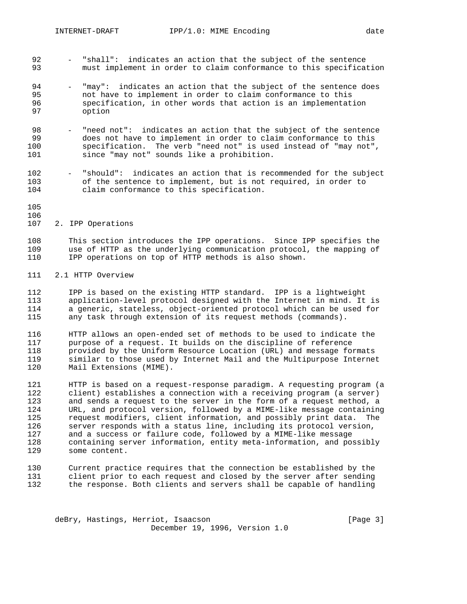- "shall": indicates an action that the subject of the sentence must implement in order to claim conformance to this specification
- 94 "may": indicates an action that the subject of the sentence does not have to implement in order to claim conformance to this specification, in other words that action is an implementation option
- "need not": indicates an action that the subject of the sentence 99 does not have to implement in order to claim conformance to this<br>100 specification. The verb "need not" is used instead of "may not", specification. The verb "need not" is used instead of "may not", 101 since "may not" sounds like a prohibition.
- "should": indicates an action that is recommended for the subject 103 of the sentence to implement, but is not required, in order to 104 claim conformance to this specification. claim conformance to this specification.
- 

## 2. IPP Operations

 This section introduces the IPP operations. Since IPP specifies the use of HTTP as the underlying communication protocol, the mapping of IPP operations on top of HTTP methods is also shown.

## 2.1 HTTP Overview

 IPP is based on the existing HTTP standard. IPP is a lightweight 113 application-level protocol designed with the Internet in mind. It is<br>114 a generic, stateless, object-oriented protocol which can be used for a generic, stateless, object-oriented protocol which can be used for any task through extension of its request methods (commands).

 HTTP allows an open-ended set of methods to be used to indicate the purpose of a request. It builds on the discipline of reference 118 provided by the Uniform Resource Location (URL) and message formats<br>119 similar to those used by Internet Mail and the Multipurpose Internet similar to those used by Internet Mail and the Multipurpose Internet Mail Extensions (MIME).

 HTTP is based on a request-response paradigm. A requesting program (a client) establishes a connection with a receiving program (a server) 123 and sends a request to the server in the form of a request method, a<br>124 URL, and protocol version, followed by a MIME-like message containing URL, and protocol version, followed by a MIME-like message containing request modifiers, client information, and possibly print data. The server responds with a status line, including its protocol version, and a success or failure code, followed by a MIME-like message containing server information, entity meta-information, and possibly some content.

 Current practice requires that the connection be established by the client prior to each request and closed by the server after sending the response. Both clients and servers shall be capable of handling

deBry, Hastings, Herriot, Isaacson [Page 3] December 19, 1996, Version 1.0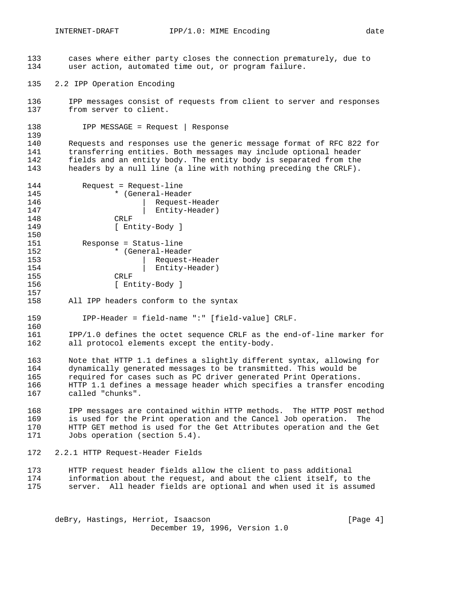- 
- 133 cases where either party closes the connection prematurely, due to 134 user action, automated time out, or program failure.
- 135 2.2 IPP Operation Encoding
- 136 IPP messages consist of requests from client to server and responses 137 from server to client.
- 138 IPP MESSAGE = Request | Response

139<br>140 Requests and responses use the generic message format of RFC 822 for transferring entities. Both messages may include optional header fields and an entity body. The entity body is separated from the headers by a null line (a line with nothing preceding the CRLF).

| 144 | $Request = Request - line$ |
|-----|----------------------------|
| 145 | * (General-Header          |
| 146 | Request-Header             |
| 147 | Entity-Header)             |
| 148 | CRLF                       |
| 149 | Entity-Body ]              |
| 150 |                            |
| 151 | Response = Status-line     |
| 152 | * (General-Header          |
| 153 | Request-Header             |
| 154 | Entity-Header)             |
| 155 | CRLF                       |
| 156 | Entity-Body ]              |

158 All IPP headers conform to the syntax

157

160

- 159 IPP-Header = field-name ":" [field-value] CRLF.
- 161 IPP/1.0 defines the octet sequence CRLF as the end-of-line marker for 162 all protocol elements except the entity-body.
- 163 Note that HTTP 1.1 defines a slightly different syntax, allowing for 164 dynamically generated messages to be transmitted. This would be required for cases such as PC driver generated Print Operations. 166 HTTP 1.1 defines a message header which specifies a transfer encoding 167 called "chunks".
- 168 IPP messages are contained within HTTP methods. The HTTP POST method 169 is used for the Print operation and the Cancel Job operation. The 170 IFTP GET method is used for the Get Attributes operation and the Get HTTP GET method is used for the Get Attributes operation and the Get 171 Jobs operation (section 5.4).
- 172 2.2.1 HTTP Request-Header Fields
- 173 HTTP request header fields allow the client to pass additional 174 information about the request, and about the client itself, to the 175 server. All header fields are optional and when used it is assumed

deBry, Hastings, Herriot, Isaacson [Page 4] December 19, 1996, Version 1.0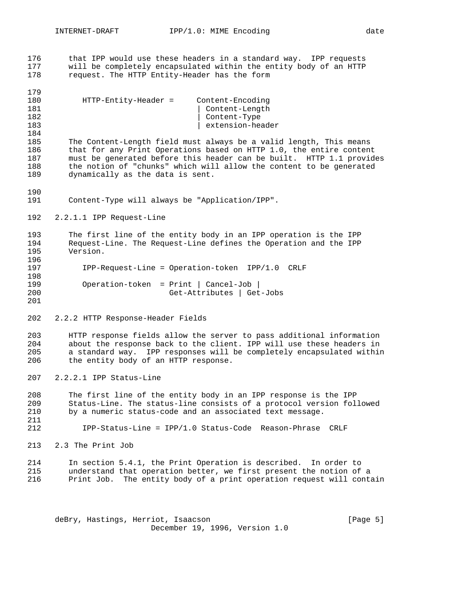that IPP would use these headers in a standard way. IPP requests 177 will be completely encapsulated within the entity body of an HTTP 178 request. The HTTP Entity-Header has the form request. The HTTP Entity-Header has the form

| 179 |                      |                                  |
|-----|----------------------|----------------------------------|
| 180 | HTTP-Entity-Header = | Content-Encoding                 |
| 181 |                      |                                  |
| 182 |                      | Content-Length<br>  Content-Type |
| 183 |                      | extension-header                 |
| 184 |                      |                                  |

 The Content-Length field must always be a valid length, This means that for any Print Operations based on HTTP 1.0, the entire content must be generated before this header can be built. HTTP 1.1 provides the notion of "chunks" which will allow the content to be generated dynamically as the data is sent.

- Content-Type will always be "Application/IPP".
- 2.2.1.1 IPP Request-Line

 The first line of the entity body in an IPP operation is the IPP Request-Line. The Request-Line defines the Operation and the IPP Version. 197 IPP-Request-Line = Operation-token IPP/1.0 CRLF

```
198
199 Operation-token = Print | Cancel-Job |
200 Get-Attributes | Get-Jobs
```
2.2.2 HTTP Response-Header Fields

 HTTP response fields allow the server to pass additional information about the response back to the client. IPP will use these headers in a standard way. IPP responses will be completely encapsulated within the entity body of an HTTP response.

2.2.2.1 IPP Status-Line

 The first line of the entity body in an IPP response is the IPP Status-Line. The status-line consists of a protocol version followed by a numeric status-code and an associated text message. 

IPP-Status-Line = IPP/1.0 Status-Code Reason-Phrase CRLF

2.3 The Print Job

 In section 5.4.1, the Print Operation is described. In order to understand that operation better, we first present the notion of a Print Job. The entity body of a print operation request will contain

deBry, Hastings, Herriot, Isaacson [Page 5] December 19, 1996, Version 1.0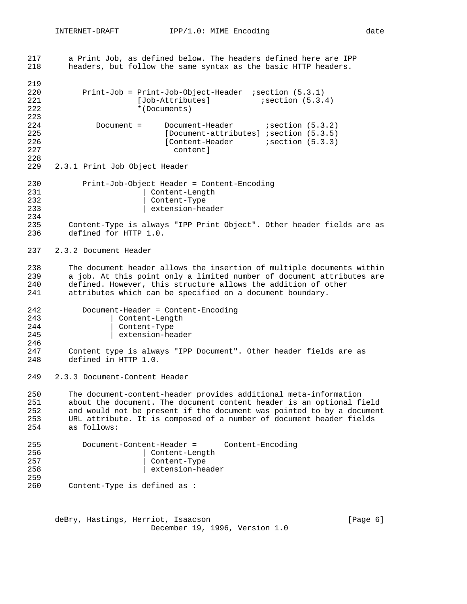| 217<br>218                      | a Print Job, as defined below. The headers defined here are IPP<br>headers, but follow the same syntax as the basic HTTP headers.                                                                                                                                                                       |
|---------------------------------|---------------------------------------------------------------------------------------------------------------------------------------------------------------------------------------------------------------------------------------------------------------------------------------------------------|
| 219<br>220<br>221<br>222<br>223 | Print-Job = Print-Job-Object-Header ; section (5.3.1)<br>[Job-Attributes]<br>isection (5.3.4)<br>*(Documents)                                                                                                                                                                                           |
| 224<br>225<br>226<br>227<br>228 | $i$ section $(5.3.2)$<br>Document $=$<br>Document-Header<br>[Document-attributes] ; section (5.3.5)<br>$i$ section $(5.3.3)$<br>[Content-Header<br>content l                                                                                                                                            |
| 229                             | 2.3.1 Print Job Object Header                                                                                                                                                                                                                                                                           |
| 230<br>231<br>232<br>233        | Print-Job-Object Header = Content-Encoding<br>Content-Length<br>Content-Type<br>extension-header                                                                                                                                                                                                        |
| 234<br>235<br>236               | Content-Type is always "IPP Print Object". Other header fields are as<br>defined for HTTP 1.0.                                                                                                                                                                                                          |
| 237                             | 2.3.2 Document Header                                                                                                                                                                                                                                                                                   |
| 238<br>239<br>240<br>241        | The document header allows the insertion of multiple documents within<br>a job. At this point only a limited number of document attributes are<br>defined. However, this structure allows the addition of other<br>attributes which can be specified on a document boundary.                            |
| 242<br>243<br>244<br>245<br>246 | Document-Header = Content-Encoding<br>Content-Length<br>$Content-Type$<br>extension-header                                                                                                                                                                                                              |
| 247<br>248                      | Content type is always "IPP Document". Other header fields are as<br>defined in HTTP 1.0.                                                                                                                                                                                                               |
| 249                             | 2.3.3 Document-Content Header                                                                                                                                                                                                                                                                           |
| 250<br>251<br>252<br>253<br>254 | The document-content-header provides additional meta-information<br>about the document. The document content header is an optional field<br>and would not be present if the document was pointed to by a document<br>URL attribute. It is composed of a number of document header fields<br>as follows: |
| 255<br>256<br>257<br>258<br>259 | Document-Content-Header =<br>Content-Encoding<br>Content-Length<br>Content-Type<br>extension-header                                                                                                                                                                                                     |
| 260                             | Content-Type is defined as :                                                                                                                                                                                                                                                                            |
|                                 |                                                                                                                                                                                                                                                                                                         |

deBry, Hastings, Herriot, Isaacson [Page 6] December 19, 1996, Version 1.0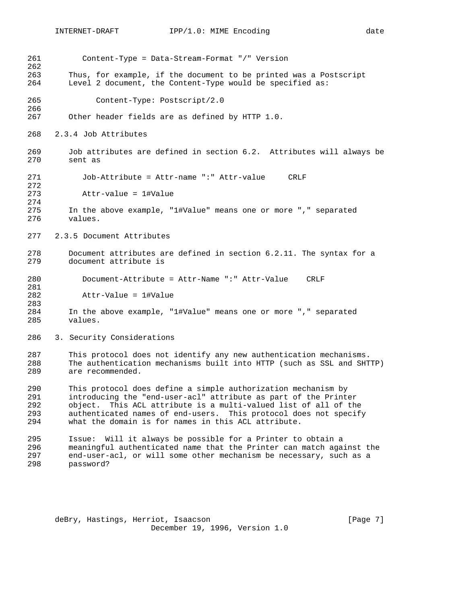Content-Type = Data-Stream-Format "/" Version  $\frac{262}{263}$ Thus, for example, if the document to be printed was a Postscript Level 2 document, the Content-Type would be specified as: Content-Type: Postscript/2.0 Other header fields are as defined by HTTP 1.0. 2.3.4 Job Attributes Job attributes are defined in section 6.2. Attributes will always be sent as Job-Attribute = Attr-name ":" Attr-value CRLF 272<br>273 Attr-value = 1#Value In the above example, "1#Value" means one or more "," separated values. 2.3.5 Document Attributes Document attributes are defined in section 6.2.11. The syntax for a document attribute is Document-Attribute = Attr-Name ":" Attr-Value CRLF Attr-Value = 1#Value In the above example, "1#Value" means one or more "," separated values. 3. Security Considerations This protocol does not identify any new authentication mechanisms. The authentication mechanisms built into HTTP (such as SSL and SHTTP) are recommended. This protocol does define a simple authorization mechanism by introducing the "end-user-acl" attribute as part of the Printer object. This ACL attribute is a multi-valued list of all of the authenticated names of end-users. This protocol does not specify what the domain is for names in this ACL attribute. Issue: Will it always be possible for a Printer to obtain a meaningful authenticated name that the Printer can match against the 297 end-user-acl, or will some other mechanism be necessary, such as a<br>298 bassword? password?

deBry, Hastings, Herriot, Isaacson [Page 7] December 19, 1996, Version 1.0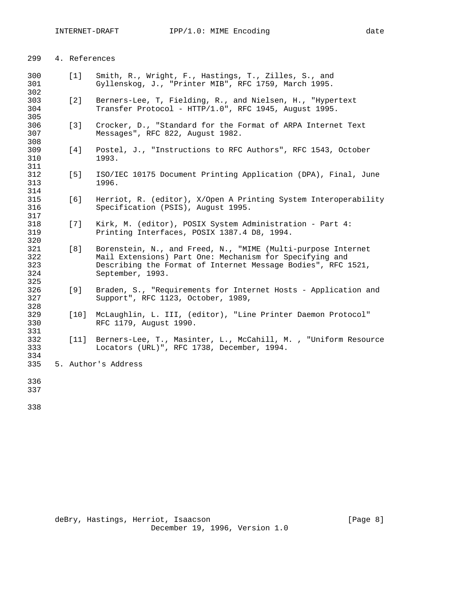| 299                             | 4. References |                                                                                                                                                                                                             |
|---------------------------------|---------------|-------------------------------------------------------------------------------------------------------------------------------------------------------------------------------------------------------------|
| 300<br>301<br>302               | [1]           | Smith, R., Wright, F., Hastings, T., Zilles, S., and<br>Gyllenskog, J., "Printer MIB", RFC 1759, March 1995.                                                                                                |
| 303<br>304<br>305               | [2]           | Berners-Lee, T, Fielding, R., and Nielsen, H., "Hypertext<br>Transfer Protocol - HTTP/1.0", RFC 1945, August 1995.                                                                                          |
| 306<br>307<br>308               | $[3]$         | Crocker, D., "Standard for the Format of ARPA Internet Text<br>Messages", RFC 822, August 1982.                                                                                                             |
| 309<br>310<br>311               | [4]           | Postel, J., "Instructions to RFC Authors", RFC 1543, October<br>1993.                                                                                                                                       |
| 312<br>313<br>314               | [5]           | ISO/IEC 10175 Document Printing Application (DPA), Final, June<br>1996.                                                                                                                                     |
| 315<br>316<br>317               | [6]           | Herriot, R. (editor), X/Open A Printing System Interoperability<br>Specification (PSIS), August 1995.                                                                                                       |
| 318<br>319<br>320               | [7]           | Kirk, M. (editor), POSIX System Administration - Part 4:<br>Printing Interfaces, POSIX 1387.4 D8, 1994.                                                                                                     |
| 321<br>322<br>323<br>324<br>325 | [8]           | Borenstein, N., and Freed, N., "MIME (Multi-purpose Internet<br>Mail Extensions) Part One: Mechanism for Specifying and<br>Describing the Format of Internet Message Bodies", RFC 1521,<br>September, 1993. |
| 326<br>327<br>328               | $[9]$         | Braden, S., "Requirements for Internet Hosts - Application and<br>Support", RFC 1123, October, 1989,                                                                                                        |
| 329<br>330<br>331               | $[10]$        | McLaughlin, L. III, (editor), "Line Printer Daemon Protocol"<br>RFC 1179, August 1990.                                                                                                                      |
| 332<br>333<br>334               | $[11]$        | Berners-Lee, T., Masinter, L., McCahill, M., "Uniform Resource<br>Locators (URL)", RFC 1738, December, 1994.                                                                                                |
| 335                             |               | 5. Author's Address                                                                                                                                                                                         |
| 336<br>337                      |               |                                                                                                                                                                                                             |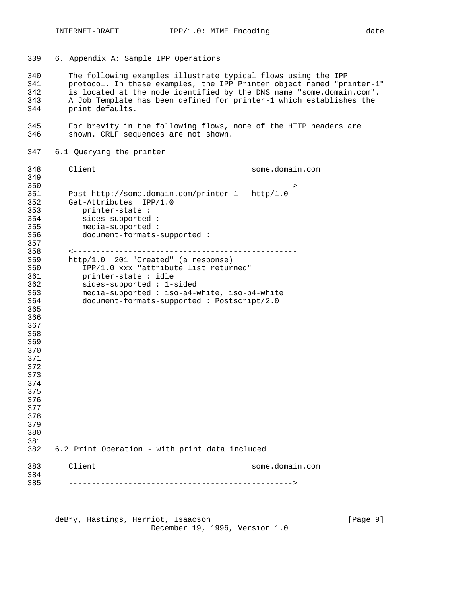6. Appendix A: Sample IPP Operations

 The following examples illustrate typical flows using the IPP protocol. In these examples, the IPP Printer object named "printer-1" is located at the node identified by the DNS name "some.domain.com". A Job Template has been defined for printer-1 which establishes the print defaults.

 For brevity in the following flows, none of the HTTP headers are shown. CRLF sequences are not shown.

6.1 Querying the printer

 Client some.domain.com -------------------------------------------------> Post http://some.domain.com/printer-1 http/1.0 Get-Attributes IPP/1.0 353 printer-state : 354 sides-supported : 355 media-supported : 356 document-formats-supported : <------------------------------------------------- http/1.0 201 "Created" (a response) 360 IPP/1.0 xxx "attribute list returned"<br>361 printer-state : idle printer-state : idle 362 sides-supported : 1-sided 363 media-supported : iso-a4-white, iso-b4-white 364 document-formats-supported : Postscript/2.0 6.2 Print Operation - with print data included Client some.domain.com ------------------------------------------------->

deBry, Hastings, Herriot, Isaacson [Page 9] December 19, 1996, Version 1.0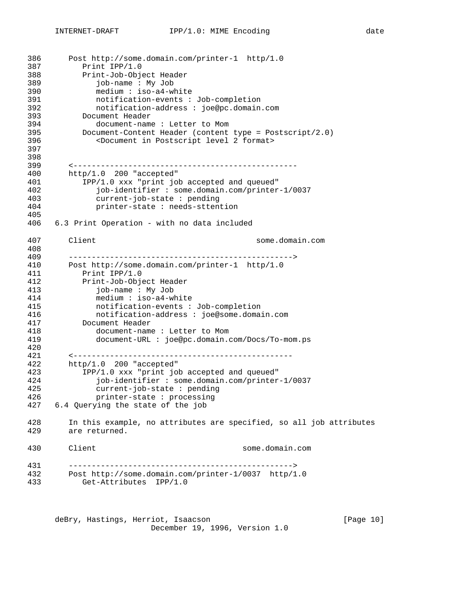```
386 Post http://some.domain.com/printer-1 http/1.0
387 Print IPP/1.0<br>388 Print-Job-Obje
         388 Print-Job-Object Header
389 job-name : My Job
390 medium : iso-a4-white
391 notification-events : Job-completion
392 notification-address : joe@pc.domain.com
393 Document Header
394 document-name : Letter to Mom
395 Document-Content Header (content type = Postscript/2.0)
396 <Document in Postscript level 2 format>
397
398
399 <-------------------------------------------------
400 http/1.0 200 "accepted"
401 IPP/1.0 xxx "print job accepted and queued"
402 job-identifier : some.domain.com/printer-1/0037
403 current-job-state : pending
404 printer-state : needs-sttention
405
406 6.3 Print Operation - with no data included
407 Client some.domain.com
408
409 ------------------------------------------------->
410 Post http://some.domain.com/printer-1 http/1.0
411 Print IPP/1.0
412 Print-Job-Object Header
413 job-name : My Job
           414 medium : iso-a4-white
415 notification-events : Job-completion
416 notification-address : joe@some.domain.com
417 Document Header
418 document-name : Letter to Mom
419 document-URL : joe@pc.domain.com/Docs/To-mom.ps
420
421 <------------------------------------------------
422 http/1.0 200 "accepted"<br>423 1PP/1.0 xxx "print jok
          IPP/1.0 xxx "print job accepted and queued"
424 job-identifier : some.domain.com/printer-1/0037
425 current-job-state : pending
426 printer-state : processing
427 6.4 Querying the state of the job
428 In this example, no attributes are specified, so all job attributes
429 are returned.
430 Client some.domain.com
431 ------------------------------------------------->
432 Post http://some.domain.com/printer-1/0037 http/1.0
        Get-Attributes IPP/1.0
```
deBry, Hastings, Herriot, Isaacson [Page 10] December 19, 1996, Version 1.0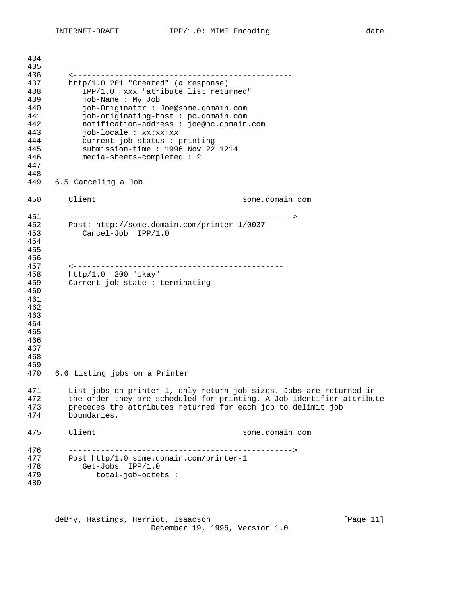| 434<br>435                                                                       |                                                                                                                                                                                                                                                                                                                                                         |  |
|----------------------------------------------------------------------------------|---------------------------------------------------------------------------------------------------------------------------------------------------------------------------------------------------------------------------------------------------------------------------------------------------------------------------------------------------------|--|
| 436<br>437<br>438<br>439<br>440<br>441<br>442<br>443<br>444<br>445<br>446<br>447 | http/1.0 201 "Created" (a response)<br>IPP/1.0 xxx "atribute list returned"<br>job-Name: My Job<br>job-Originator : Joe@some.domain.com<br>job-originating-host: pc.domain.com<br>notification-address : joe@pc.domain.com<br>job-locale : xx:xx:xx<br>current-job-status : printing<br>submission-time: 1996 Nov 22 1214<br>media-sheets-completed : 2 |  |
| 448<br>449                                                                       | 6.5 Canceling a Job                                                                                                                                                                                                                                                                                                                                     |  |
| 450                                                                              | Client<br>some.domain.com                                                                                                                                                                                                                                                                                                                               |  |
| 451<br>452<br>453<br>454<br>455<br>456<br>457                                    | Post: http://some.domain.com/printer-1/0037<br>Cancel-Job IPP/1.0                                                                                                                                                                                                                                                                                       |  |
| 458<br>459<br>460<br>461<br>462<br>463<br>464<br>465<br>466<br>467<br>468<br>469 | http/1.0 200 "okay"<br>Current-job-state : terminating                                                                                                                                                                                                                                                                                                  |  |
| 470                                                                              | 6.6 Listing jobs on a Printer                                                                                                                                                                                                                                                                                                                           |  |
| 471<br>472<br>473<br>474                                                         | List jobs on printer-1, only return job sizes. Jobs are returned in<br>the order they are scheduled for printing. A Job-identifier attribute<br>precedes the attributes returned for each job to delimit job<br>boundaries.                                                                                                                             |  |
| 475                                                                              | Client<br>some.domain.com                                                                                                                                                                                                                                                                                                                               |  |
| 476<br>477<br>478<br>479<br>480                                                  | Post http/1.0 some.domain.com/printer-1<br>Get-Jobs<br>IPP/1.0<br>$total-job-octets$ :                                                                                                                                                                                                                                                                  |  |

deBry, Hastings, Herriot, Isaacson [Page 11] December 19, 1996, Version 1.0